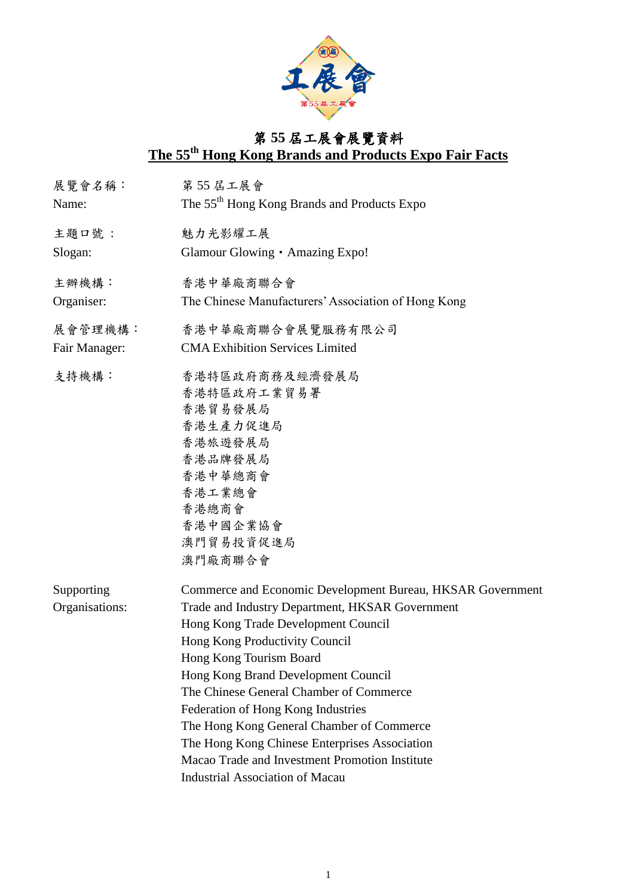

## 第 **55** 屆工展會展覽資料 **The 55 th Hong Kong Brands and Products Expo Fair Facts**

| 展覽會名稱:<br>Name: | 第55 居工展會<br>The 55 <sup>th</sup> Hong Kong Brands and Products Expo |
|-----------------|---------------------------------------------------------------------|
| 主題口號:           | 魅力光影耀工展                                                             |
| Slogan:         | Glamour Glowing • Amazing Expo!                                     |
| 主辦機構:           | 香港中華廠商聯合會                                                           |
| Organiser:      | The Chinese Manufacturers' Association of Hong Kong                 |
| 展會管理機構:         | 香港中華廠商聯合會展覽服務有限公司                                                   |
| Fair Manager:   | <b>CMA Exhibition Services Limited</b>                              |
| 支持機構:           | 香港特區政府商務及經濟發展局                                                      |
|                 | 香港特區政府工業貿易署                                                         |
|                 | 香港貿易發展局                                                             |
|                 | 香港生產力促進局                                                            |
|                 | 香港旅遊發展局                                                             |
|                 | 香港品牌發展局                                                             |
|                 | 香港中華總商會                                                             |
|                 | 香港工業總會                                                              |
|                 | 香港總商會                                                               |
|                 | 香港中國企業協會                                                            |
|                 | 澳門貿易投資促進局                                                           |
|                 | 澳門廠商聯合會                                                             |
| Supporting      | Commerce and Economic Development Bureau, HKSAR Government          |
| Organisations:  | Trade and Industry Department, HKSAR Government                     |
|                 | Hong Kong Trade Development Council                                 |
|                 | Hong Kong Productivity Council                                      |
|                 | Hong Kong Tourism Board                                             |
|                 | Hong Kong Brand Development Council                                 |
|                 | The Chinese General Chamber of Commerce                             |
|                 | Federation of Hong Kong Industries                                  |
|                 | The Hong Kong General Chamber of Commerce                           |
|                 | The Hong Kong Chinese Enterprises Association                       |
|                 | Macao Trade and Investment Promotion Institute                      |
|                 | <b>Industrial Association of Macau</b>                              |
|                 |                                                                     |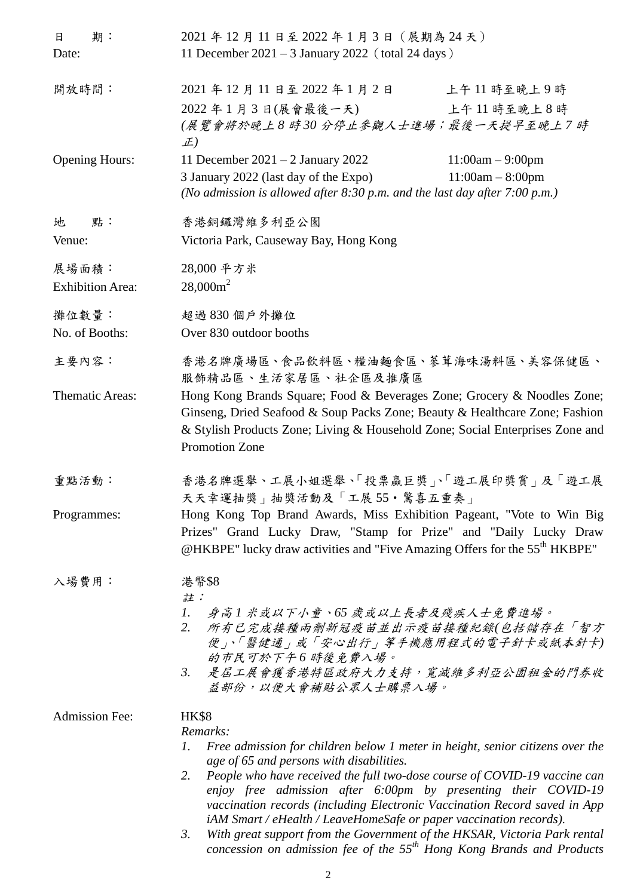| 期:<br>日<br>Date:                 | 2021年12月11日至2022年1月3日 (展期為24天)<br>11 December 2021 - 3 January 2022 (total 24 days)                                                                                                                                                                                                                                                                                                                                                                                                                                                                                                                                               |
|----------------------------------|-----------------------------------------------------------------------------------------------------------------------------------------------------------------------------------------------------------------------------------------------------------------------------------------------------------------------------------------------------------------------------------------------------------------------------------------------------------------------------------------------------------------------------------------------------------------------------------------------------------------------------------|
| 開放時間:                            | 2021年12月11日至2022年1月2日<br>上午11時至晚上9時<br>2022年1月3日(展會最後一天)<br>上午11時至晚上8時<br>(展覽會將於晚上8時30分停止參觀人士進場;最後一天提早至晚上7時<br>正)                                                                                                                                                                                                                                                                                                                                                                                                                                                                                                                 |
| <b>Opening Hours:</b>            | 11 December $2021 - 2$ January 2022<br>$11:00am - 9:00pm$<br>3 January 2022 (last day of the Expo)<br>$11:00am - 8:00pm$<br>(No admission is allowed after $8:30$ p.m. and the last day after $7:00$ p.m.)                                                                                                                                                                                                                                                                                                                                                                                                                        |
| 地<br>點:<br>Venue:                | 香港銅鑼灣維多利亞公園<br>Victoria Park, Causeway Bay, Hong Kong                                                                                                                                                                                                                                                                                                                                                                                                                                                                                                                                                                             |
| 展場面積:<br><b>Exhibition Area:</b> | 28,000 平方米<br>$28,000m^2$                                                                                                                                                                                                                                                                                                                                                                                                                                                                                                                                                                                                         |
| 攤位數量:<br>No. of Booths:          | 超過830個戶外攤位<br>Over 830 outdoor booths                                                                                                                                                                                                                                                                                                                                                                                                                                                                                                                                                                                             |
| 主要內容:                            | 香港名牌廣場區、食品飲料區、糧油麵食區、蔘茸海味湯料區、美容保健區、<br>服飾精品區、生活家居區、社企區及推廣區                                                                                                                                                                                                                                                                                                                                                                                                                                                                                                                                                                         |
| Thematic Areas:                  | Hong Kong Brands Square; Food & Beverages Zone; Grocery & Noodles Zone;<br>Ginseng, Dried Seafood & Soup Packs Zone; Beauty & Healthcare Zone; Fashion<br>& Stylish Products Zone; Living & Household Zone; Social Enterprises Zone and<br>Promotion Zone                                                                                                                                                                                                                                                                                                                                                                         |
| 重點活動:                            | 香港名牌選舉、工展小姐選舉、「投票贏巨獎」、「遊工展印獎賞」及「遊工展<br>天天幸運抽獎」抽獎活動及「工展 55·驚喜五重奏」                                                                                                                                                                                                                                                                                                                                                                                                                                                                                                                                                                  |
| Programmes:                      | Hong Kong Top Brand Awards, Miss Exhibition Pageant, "Vote to Win Big<br>Prizes" Grand Lucky Draw, "Stamp for Prize" and "Daily Lucky Draw<br>@HKBPE" lucky draw activities and "Five Amazing Offers for the 55 <sup>th</sup> HKBPE"                                                                                                                                                                                                                                                                                                                                                                                              |
| 入場費用:                            | 港幣\$8<br>註:<br>1.<br>身高1米或以下小童、65 歲或以上長者及殘疾人士免費進場。<br>所有已完成接種兩劑新冠疫苗並出示疫苗接種紀錄(包括儲存在「智方<br>2.<br>便」、「醫健通」或「安心出行」等手機應用程式的電子針卡或紙本針卡)<br>的市民可於下午6時後免費入場。<br>3. 是居工展會獲香港特區政府大力支持,寬減維多利亞公園租金的門券收<br>益部份,以便大會補貼公眾人士購票入場。                                                                                                                                                                                                                                                                                                                                                                                                                  |
| <b>Admission Fee:</b>            | <b>HK\$8</b><br>Remarks:<br>Free admission for children below 1 meter in height, senior citizens over the<br>1.<br>age of 65 and persons with disabilities.<br>People who have received the full two-dose course of COVID-19 vaccine can<br>2.<br>enjoy free admission after 6:00pm by presenting their COVID-19<br>vaccination records (including Electronic Vaccination Record saved in App<br>iAM Smart / eHealth / LeaveHomeSafe or paper vaccination records).<br>With great support from the Government of the HKSAR, Victoria Park rental<br>3.<br>concession on admission fee of the $55th$ Hong Kong Brands and Products |